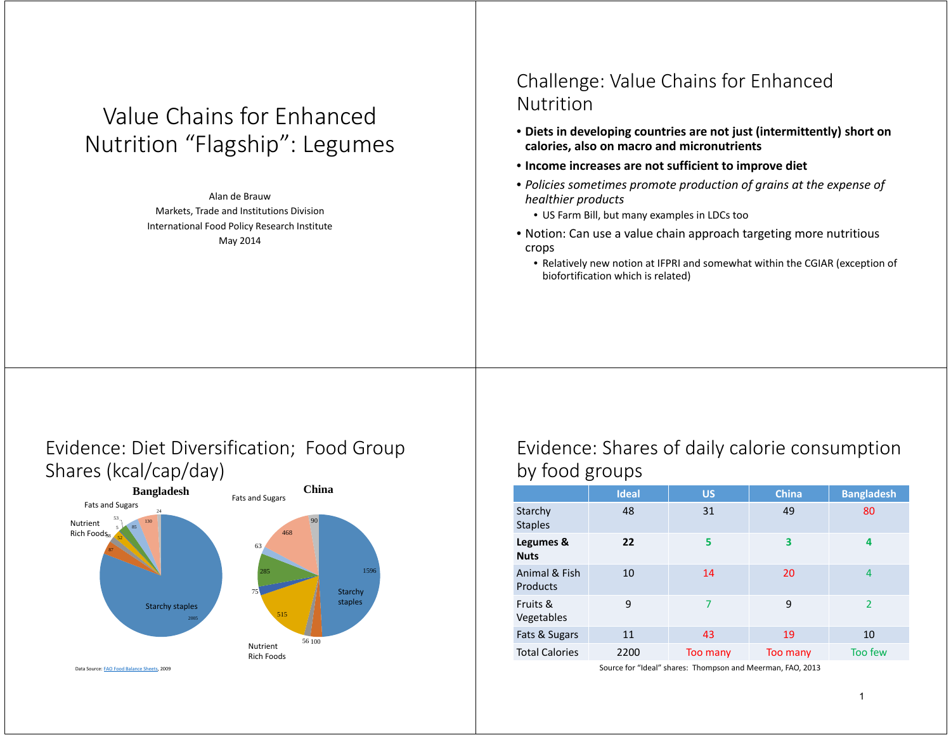# Value Chains for Enhanced Nutrition "Flagship": Legumes

Alan de BrauwMarkets, Trade and Institutions Division International Food Policy Research Institute May 2014

### Challenge: Value Chains for Enhanced Nutrition

- **Diets in developing countries are not just (intermittently) short on calories, also on macro and micronutrients**
- **Income increases are not sufficient to improve diet**
- *Policies sometimes promote production of grains at the expense of healthier products*
	- US Farm Bill, but many examples in LDCs too
- Notion: Can use a value chain approach targeting more nutritious crops
	- Relatively new notion at IFPRI and somewhat within the CGIAR (exception of biofortification which is related)

### Evidence: Diet Diversification; Food Group Shares (kcal/cap/day)



#### Evidence: Shares of daily calorie consumption by food groups

|                           | <b>Ideal</b> | <b>US</b> | <b>China</b> | <b>Bangladesh</b>        |
|---------------------------|--------------|-----------|--------------|--------------------------|
| Starchy<br><b>Staples</b> | 48           | 31        | 49           | 80                       |
| Legumes &<br><b>Nuts</b>  | 22           | 5         | 3            | 4                        |
| Animal & Fish<br>Products | 10           | 14        | 20           | 4                        |
| Fruits &<br>Vegetables    | 9            | 7         | 9            | $\overline{\phantom{a}}$ |
| Fats & Sugars             | 11           | 43        | 19           | 10                       |
| <b>Total Calories</b>     | 2200         | Too many  | Too many     | Too few                  |

Source for "Ideal" shares: Thompson and Meerman, FAO, 2013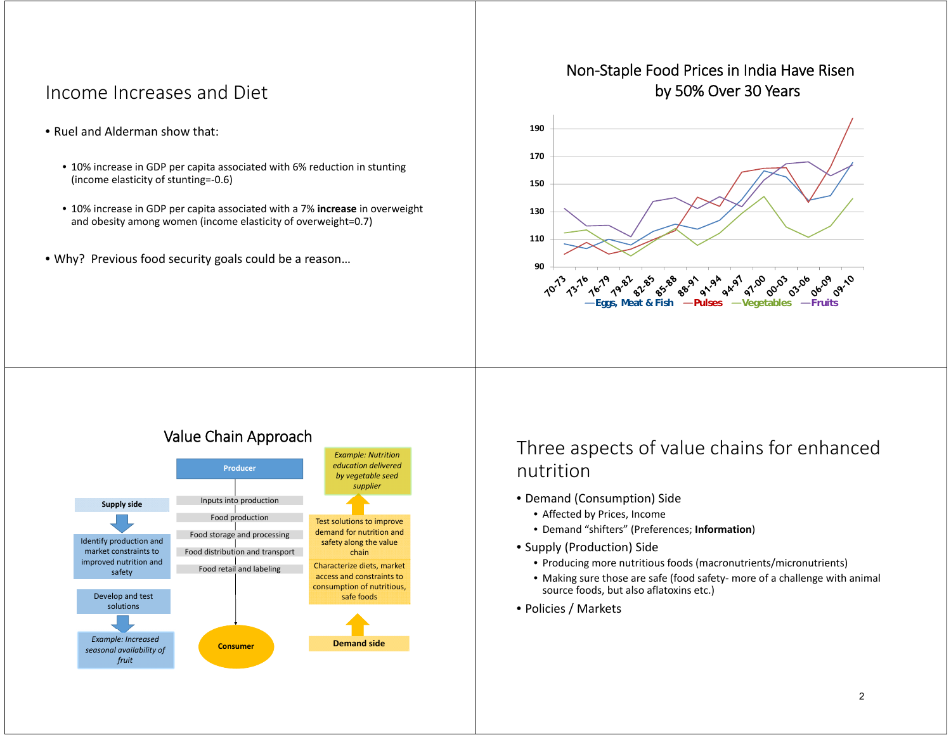#### Income Increases and Diet

- Ruel and Alderman show that:
	- 10% increase in GDP per capita associated with 6% reduction in stunting (income elasticity of stunting=-0.6)
	- 10% increase in GDP per capita associated with a 7% **increase** in overweight and obesity among women (income elasticity of overweight=0.7)
- Why? Previous food security goals could be a reason… **<sup>90</sup>**

#### Non-Staple Food Prices in India Have Risen by 50% Over 30 Years





#### Three aspects of value chains for enhanced nutrition

- Demand (Consumption) Side
	- Affected by Prices, Income
	- Demand "shifters" (Preferences; **Information**)
- Supply (Production) Side
	- Producing more nutritious foods (macronutrients/micronutrients)
	- Making sure those are safe (food safety- more of a challenge with animal source foods, but also aflatoxins etc.)
- Policies / Markets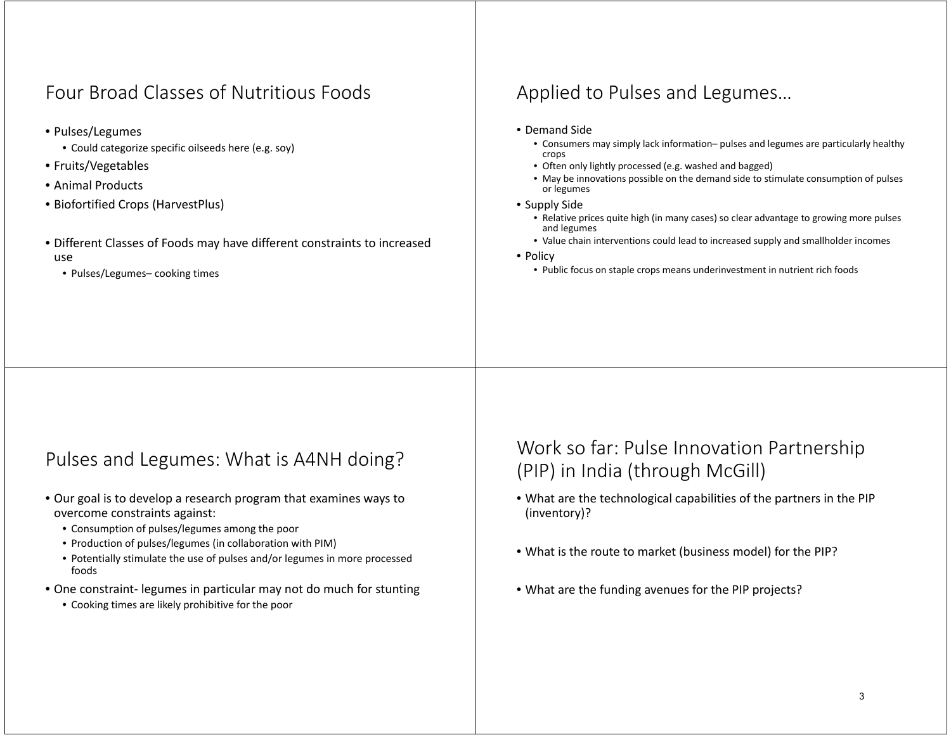# Four Broad Classes of Nutritious Foods

- Pulses/Legumes
	- Could categorize specific oilseeds here (e.g. soy)
- Fruits/Vegetables
- Animal Products
- Biofortified Crops (HarvestPlus)
- Different Classes of Foods may have different constraints to increased use
	- Pulses/Legumes– cooking times

# Applied to Pulses and Legumes…

- Demand Side
	- Consumers may simply lack information– pulses and legumes are particularly healthy crops
	- Often only lightly processed (e.g. washed and bagged)
	- May be innovations possible on the demand side to stimulate consumption of pulses or legumes
- Supply Side
	- Relative prices quite high (in many cases) so clear advantage to growing more pulses and legumes
	- Value chain interventions could lead to increased supply and smallholder incomes
- Policy
	- Public focus on staple crops means underinvestment in nutrient rich foods

# Pulses and Legumes: What is A4NH doing?

- Our goal is to develop a research program that examines ways to overcome constraints against:
	- Consumption of pulses/legumes among the poor
	- Production of pulses/legumes (in collaboration with PIM)
	- Potentially stimulate the use of pulses and/or legumes in more processed foods
- One constraint- legumes in particular may not do much for stunting
	- Cooking times are likely prohibitive for the poor

### Work so far: Pulse Innovation Partnership (PIP) in India (through McGill)

- What are the technological capabilities of the partners in the PIP (inventory)?
- What is the route to market (business model) for the PIP?
- What are the funding avenues for the PIP projects?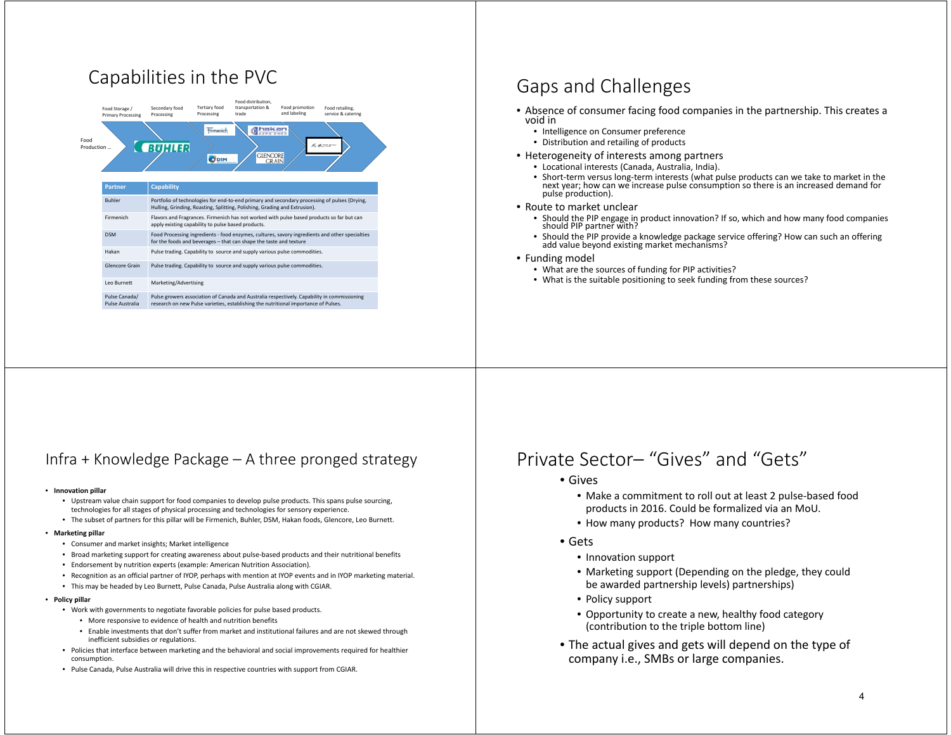#### Capabilities in the PVC



# Gaps and Challenges

- Absence of consumer facing food companies in the partnership. This creates a void in
	- Intelligence on Consumer preference
	- Distribution and retailing of products
- Heterogeneity of interests among partners
	- Locational interests (Canada, Australia, India).
	- Short-term versus long-term interests (what pulse products can we take to market in the next year; how can we increase pulse consumption so there is an increased demand for pulse production).
- Route to market unclear
	- Should the PIP engage in product innovation? If so, which and how many food companies should PIP partner with?
	- Should the PIP provide a knowledge package service offering? How can such an offering<br>add value beyond existing market mechanisms?
- Funding model
	- What are the sources of funding for PIP activities?
	- What is the suitable positioning to seek funding from these sources?

#### Infra + Knowledge Package – A three pronged strategy

#### • **Innovation pillar**

- Upstream value chain support for food companies to develop pulse products. This spans pulse sourcing, technologies for all stages of physical processing and technologies for sensory experience.
- The subset of partners for this pillar will be Firmenich, Buhler, DSM, Hakan foods, Glencore, Leo Burnett.

#### • **Marketing pillar**

- Consumer and market insights; Market intelligence
- Broad marketing support for creating awareness about pulse-based products and their nutritional benefits
- Endorsement by nutrition experts (example: American Nutrition Association).
- Recognition as an official partner of IYOP, perhaps with mention at IYOP events and in IYOP marketing material.
- This may be headed by Leo Burnett, Pulse Canada, Pulse Australia along with CGIAR.

#### • **Policy pillar**

- Work with governments to negotiate favorable policies for pulse based products.
	- More responsive to evidence of health and nutrition benefits
	- Enable investments that don't suffer from market and institutional failures and are not skewed through inefficient subsidies or regulations.
- Policies that interface between marketing and the behavioral and social improvements required for healthier consumption.
- Pulse Canada, Pulse Australia will drive this in respective countries with support from CGIAR.

#### Private Sector– "Gives" and "Gets"

- Gives
	- Make a commitment to roll out at least 2 pulse-based food products in 2016. Could be formalized via an MoU.
	- How many products? How many countries?
- Gets
	- Innovation support
	- Marketing support (Depending on the pledge, they could be awarded partnership levels) partnerships)
	- Policy support
	- Opportunity to create a new, healthy food category (contribution to the triple bottom line)
- The actual gives and gets will depend on the type of company i.e., SMBs or large companies.